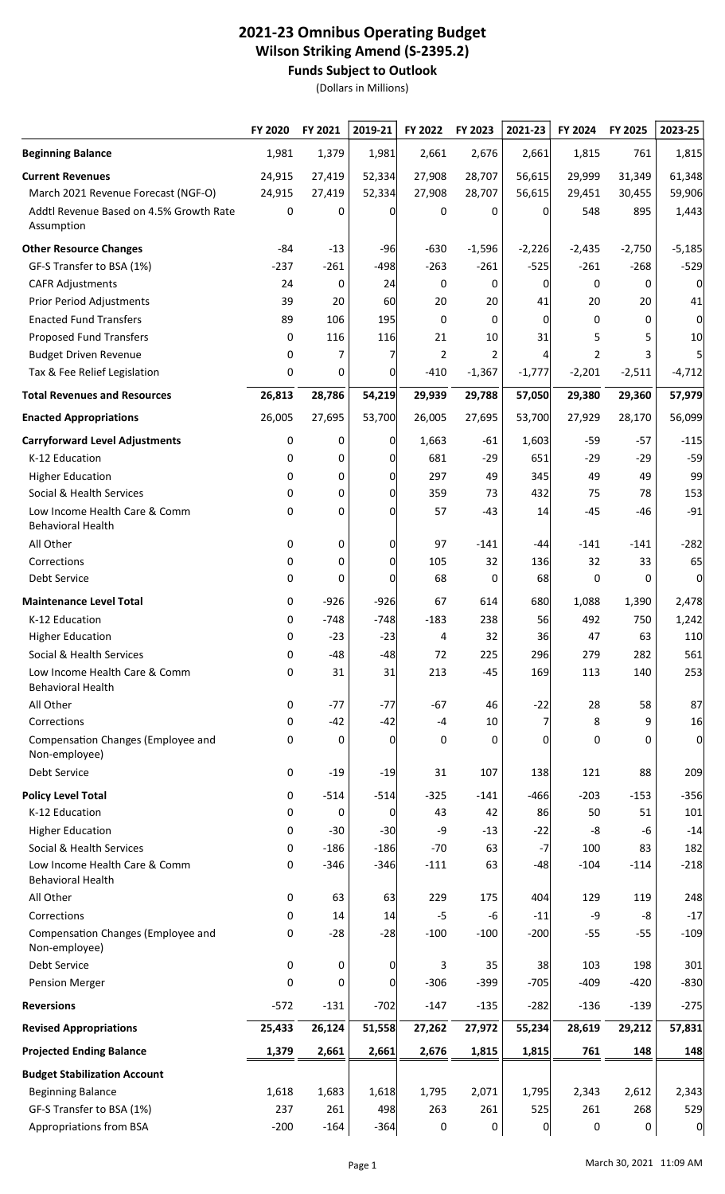## 2021-23 Omnibus Operating Budget Wilson Striking Amend (S-2395.2) Funds Subject to Outlook

(Dollars in Millions)

|                                                           | FY 2020 | FY 2021 | 2019-21      | FY 2022 | FY 2023        | 2021-23  | FY 2024  | FY 2025  | 2023-25  |
|-----------------------------------------------------------|---------|---------|--------------|---------|----------------|----------|----------|----------|----------|
| <b>Beginning Balance</b>                                  | 1,981   | 1,379   | 1,981        | 2,661   | 2,676          | 2,661    | 1,815    | 761      | 1,815    |
| <b>Current Revenues</b>                                   | 24,915  | 27,419  | 52,334       | 27,908  | 28,707         | 56,615   | 29,999   | 31,349   | 61,348   |
| March 2021 Revenue Forecast (NGF-O)                       | 24,915  | 27,419  | 52,334       | 27,908  | 28,707         | 56,615   | 29,451   | 30,455   | 59,906   |
| Addtl Revenue Based on 4.5% Growth Rate<br>Assumption     | 0       | 0       | 0            | 0       | 0              | 0        | 548      | 895      | 1,443    |
| <b>Other Resource Changes</b>                             | -84     | $-13$   | $-96$        | $-630$  | $-1,596$       | $-2,226$ | $-2,435$ | $-2,750$ | $-5,185$ |
| GF-S Transfer to BSA (1%)                                 | $-237$  | $-261$  | $-498$       | $-263$  | $-261$         | $-525$   | $-261$   | $-268$   | $-529$   |
| <b>CAFR Adjustments</b>                                   | 24      | 0       | 24           | 0       | 0              | 0        | 0        | 0        | 0        |
| <b>Prior Period Adjustments</b>                           | 39      | 20      | 60           | 20      | 20             | 41       | 20       | 20       | 41       |
| <b>Enacted Fund Transfers</b>                             | 89      | 106     | 195          | 0       | 0              | 0        | 0        | 0        | 0        |
| <b>Proposed Fund Transfers</b>                            | 0       | 116     | 116          | 21      | 10             | 31       | 5        | 5        | 10       |
| <b>Budget Driven Revenue</b>                              | 0       | 7       | 7            | 2       | $\overline{2}$ | 4        | 2        |          | 5        |
| Tax & Fee Relief Legislation                              | 0       | 0       | 0            | $-410$  | $-1,367$       | $-1,777$ | $-2,201$ | $-2,511$ | $-4,712$ |
| <b>Total Revenues and Resources</b>                       | 26,813  | 28,786  | 54,219       | 29,939  | 29,788         | 57,050   | 29,380   | 29,360   | 57,979   |
| <b>Enacted Appropriations</b>                             | 26,005  | 27,695  | 53,700       | 26,005  | 27,695         | 53,700   | 27,929   | 28,170   | 56,099   |
| <b>Carryforward Level Adjustments</b>                     | 0       | 0       | 0            | 1,663   | $-61$          | 1,603    | $-59$    | $-57$    | $-115$   |
| K-12 Education                                            | 0       | 0       | 0            | 681     | $-29$          | 651      | $-29$    | $-29$    | $-59$    |
| <b>Higher Education</b>                                   | 0       | 0       | 0l           | 297     | 49             | 345      | 49       | 49       | 99       |
| Social & Health Services                                  | 0       | 0       | 0            | 359     | 73             | 432      | 75       | 78       | 153      |
| Low Income Health Care & Comm<br><b>Behavioral Health</b> | 0       | 0       | 0            | 57      | $-43$          | 14       | $-45$    | $-46$    | $-91$    |
| All Other                                                 | 0       | 0       | 0            | 97      | $-141$         | -44      | $-141$   | $-141$   | $-282$   |
| Corrections                                               | 0       | 0       | 0l           | 105     | 32             | 136      | 32       | 33       | 65       |
| Debt Service                                              | 0       | 0       | 0            | 68      | 0              | 68       | 0        | 0        | 0        |
| <b>Maintenance Level Total</b>                            | 0       | $-926$  | $-926$       | 67      | 614            | 680      | 1,088    | 1,390    | 2,478    |
| K-12 Education                                            | 0       | $-748$  | $-748$       | $-183$  | 238            | 56       | 492      | 750      | 1,242    |
| <b>Higher Education</b>                                   | 0       | $-23$   | $-23$        | 4       | 32             | 36       | 47       | 63       | 110      |
| Social & Health Services                                  | 0       | $-48$   | $-48$        | 72      | 225            | 296      | 279      | 282      | 561      |
| Low Income Health Care & Comm<br><b>Behavioral Health</b> | 0       | 31      | 31           | 213     | $-45$          | 169      | 113      | 140      | 253      |
| All Other                                                 | 0       | $-77$   | $-77$        | $-67$   | 46             | $-22$    | 28       | 58       | 87       |
| Corrections                                               | 0       | $-42$   | $-42$        | $-4$    | 10             |          | 8        | 9        | 16       |
| Compensation Changes (Employee and<br>Non-employee)       | 0       | 0       | 0            | 0       | 0              | $\Omega$ | 0        | 0        | 0        |
| Debt Service                                              | 0       | $-19$   | $-19$        | 31      | 107            | 138      | 121      | 88       | 209      |
| <b>Policy Level Total</b>                                 | 0       | $-514$  | $-514$       | $-325$  | $-141$         | $-466$   | $-203$   | $-153$   | $-356$   |
| K-12 Education                                            | 0       | 0       | 0            | 43      | 42             | 86       | 50       | 51       | 101      |
| <b>Higher Education</b>                                   | 0       | $-30$   | $-30$        | -9      | $-13$          | $-22$    | -8       | -6       | $-14$    |
| Social & Health Services                                  | 0       | $-186$  | $-186$       | $-70$   | 63             | $-7$     | 100      | 83       | 182      |
| Low Income Health Care & Comm<br><b>Behavioral Health</b> | 0       | $-346$  | $-346$       | $-111$  | 63             | $-48$    | $-104$   | $-114$   | $-218$   |
| All Other                                                 | 0       | 63      | 63           | 229     | 175            | 404      | 129      | 119      | 248      |
| Corrections                                               | 0       | 14      | 14           | $-5$    | $-6$           | $-11$    | -9       | -8       | $-17$    |
| Compensation Changes (Employee and<br>Non-employee)       | 0       | $-28$   | $-28$        | $-100$  | $-100$         | $-200$   | $-55$    | $-55$    | $-109$   |
| Debt Service                                              | 0       | 0       | <sub>0</sub> | 3       | 35             | 38       | 103      | 198      | 301      |
| <b>Pension Merger</b>                                     | 0       | 0       | 0            | $-306$  | $-399$         | $-705$   | $-409$   | $-420$   | $-830$   |
| <b>Reversions</b>                                         | $-572$  | $-131$  | $-702$       | $-147$  | $-135$         | $-282$   | $-136$   | $-139$   | $-275$   |
| <b>Revised Appropriations</b>                             | 25,433  | 26,124  | 51,558       | 27,262  | 27,972         | 55,234   | 28,619   | 29,212   | 57,831   |
| <b>Projected Ending Balance</b>                           | 1,379   | 2,661   | 2,661        | 2,676   | 1,815          | 1,815    | 761      | 148      | 148      |
| <b>Budget Stabilization Account</b>                       |         |         |              |         |                |          |          |          |          |
| <b>Beginning Balance</b>                                  | 1,618   | 1,683   | 1,618        | 1,795   | 2,071          | 1,795    | 2,343    | 2,612    | 2,343    |
| GF-S Transfer to BSA (1%)                                 | 237     | 261     | 498          | 263     | 261            | 525      | 261      | 268      | 529      |
| Appropriations from BSA                                   | $-200$  | $-164$  | $-364$       | 0       | 0              | 0        | 0        | 0        | 0        |